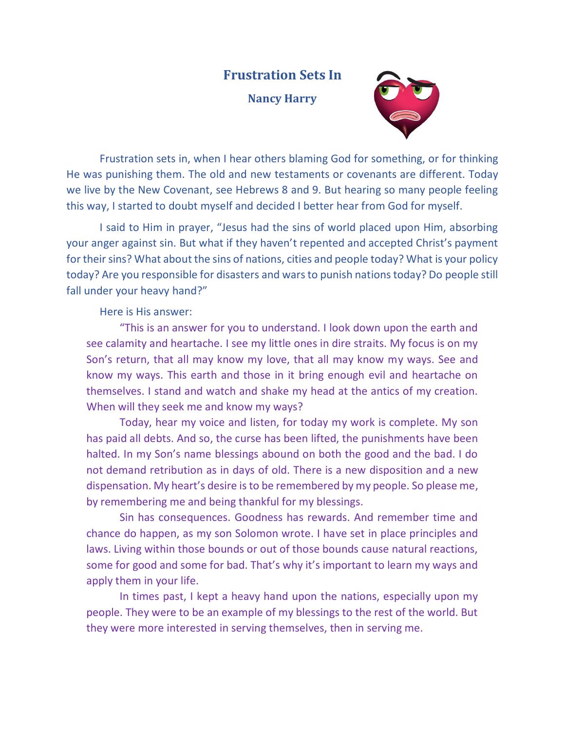## **Frustration Sets In**

**Nancy Harry**



Frustration sets in, when I hear others blaming God for something, or for thinking He was punishing them. The old and new testaments or covenants are different. Today we live by the New Covenant, see Hebrews 8 and 9. But hearing so many people feeling this way, I started to doubt myself and decided I better hear from God for myself.

I said to Him in prayer, "Jesus had the sins of world placed upon Him, absorbing your anger against sin. But what if they haven't repented and accepted Christ's payment for their sins? What about the sins of nations, cities and people today? What is your policy today? Are you responsible for disasters and wars to punish nations today? Do people still fall under your heavy hand?"

Here is His answer:

"This is an answer for you to understand. I look down upon the earth and see calamity and heartache. I see my little ones in dire straits. My focus is on my Son's return, that all may know my love, that all may know my ways. See and know my ways. This earth and those in it bring enough evil and heartache on themselves. I stand and watch and shake my head at the antics of my creation. When will they seek me and know my ways?

Today, hear my voice and listen, for today my work is complete. My son has paid all debts. And so, the curse has been lifted, the punishments have been halted. In my Son's name blessings abound on both the good and the bad. I do not demand retribution as in days of old. There is a new disposition and a new dispensation. My heart's desire is to be remembered by my people. So please me, by remembering me and being thankful for my blessings.

Sin has consequences. Goodness has rewards. And remember time and chance do happen, as my son Solomon wrote. I have set in place principles and laws. Living within those bounds or out of those bounds cause natural reactions, some for good and some for bad. That's why it's important to learn my ways and apply them in your life.

In times past, I kept a heavy hand upon the nations, especially upon my people. They were to be an example of my blessings to the rest of the world. But they were more interested in serving themselves, then in serving me.